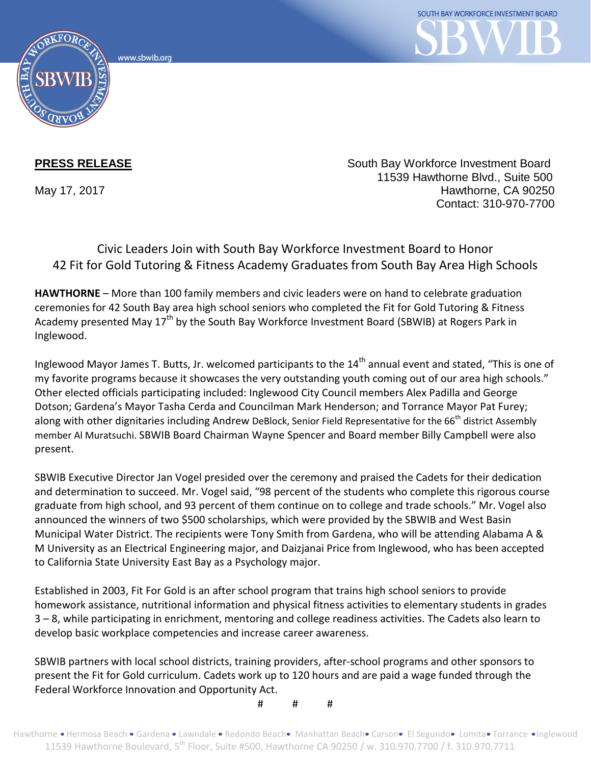www.sbwib.org



**PRESS RELEASE** South Bay Workforce Investment Board 11539 Hawthorne Blvd., Suite 500 May 17, 2017 **Hawthorne, CA 90250** Contact: 310-970-7700

## Civic Leaders Join with South Bay Workforce Investment Board to Honor 42 Fit for Gold Tutoring & Fitness Academy Graduates from South Bay Area High Schools

**HAWTHORNE** – More than 100 family members and civic leaders were on hand to celebrate graduation ceremonies for 42 South Bay area high school seniors who completed the Fit for Gold Tutoring & Fitness Academy presented May 17<sup>th</sup> by the South Bay Workforce Investment Board (SBWIB) at Rogers Park in Inglewood.

Inglewood Mayor James T. Butts, Jr. welcomed participants to the 14<sup>th</sup> annual event and stated, "This is one of my favorite programs because it showcases the very outstanding youth coming out of our area high schools." Other elected officials participating included: Inglewood City Council members Alex Padilla and George Dotson; Gardena's Mayor Tasha Cerda and Councilman Mark Henderson; and Torrance Mayor Pat Furey; along with other dignitaries including Andrew DeBlock, Senior Field Representative for the 66<sup>th</sup> district Assembly member Al Muratsuchi. SBWIB Board Chairman Wayne Spencer and Board member Billy Campbell were also present.

SBWIB Executive Director Jan Vogel presided over the ceremony and praised the Cadets for their dedication and determination to succeed. Mr. Vogel said, "98 percent of the students who complete this rigorous course graduate from high school, and 93 percent of them continue on to college and trade schools." Mr. Vogel also announced the winners of two \$500 scholarships, which were provided by the SBWIB and West Basin Municipal Water District. The recipients were Tony Smith from Gardena, who will be attending Alabama A & M University as an Electrical Engineering major, and Daizjanai Price from Inglewood, who has been accepted to California State University East Bay as a Psychology major.

Established in 2003, Fit For Gold is an after school program that trains high school seniors to provide homework assistance, nutritional information and physical fitness activities to elementary students in grades 3 – 8, while participating in enrichment, mentoring and college readiness activities. The Cadets also learn to develop basic workplace competencies and increase career awareness.

SBWIB partners with local school districts, training providers, after-school programs and other sponsors to present the Fit for Gold curriculum. Cadets work up to 120 hours and are paid a wage funded through the Federal Workforce Innovation and Opportunity Act.

# # #